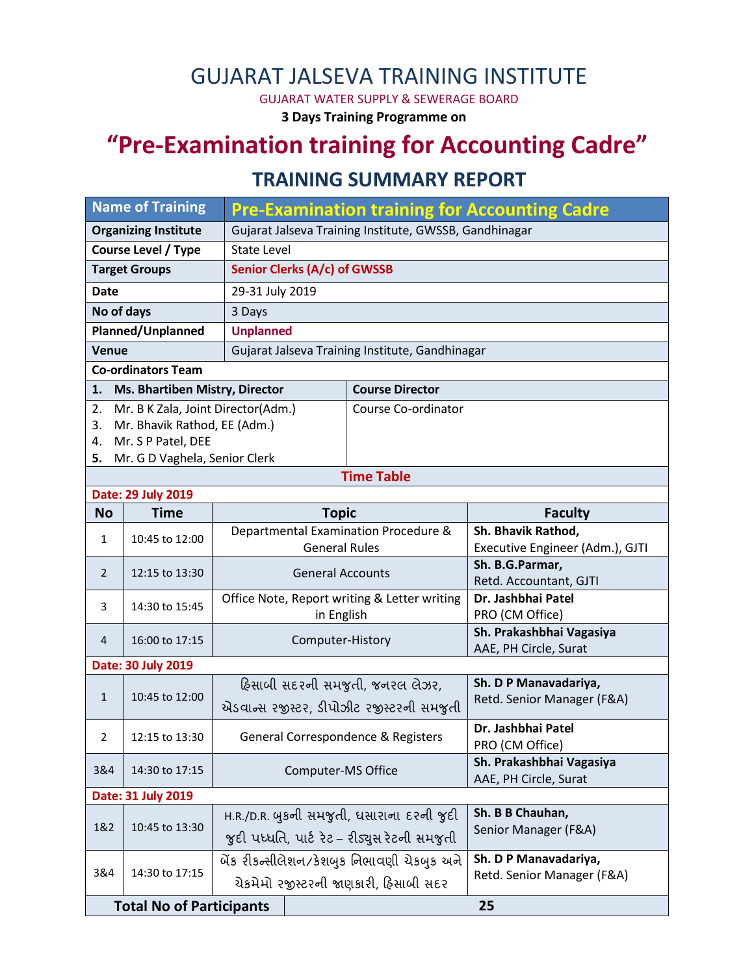## GUJARAT JALSEVA TRAINING INSTITUTE

GUJARAT WATER SUPPLY & SEWERAGE BOARD

**3 Days Training Programme on**

# **"Pre-Examination training for Accounting Cadre"**

### **TRAINING SUMMARY REPORT**

| <b>Name of Training</b>               |                                    |                                                              | <b>Pre-Examination training for Accounting Cadre</b>       |                     |                                                     |  |  |  |  |  |
|---------------------------------------|------------------------------------|--------------------------------------------------------------|------------------------------------------------------------|---------------------|-----------------------------------------------------|--|--|--|--|--|
| <b>Organizing Institute</b>           |                                    | Gujarat Jalseva Training Institute, GWSSB, Gandhinagar       |                                                            |                     |                                                     |  |  |  |  |  |
| <b>Course Level / Type</b>            |                                    | <b>State Level</b>                                           |                                                            |                     |                                                     |  |  |  |  |  |
| <b>Target Groups</b>                  |                                    |                                                              | Senior Clerks (A/c) of GWSSB                               |                     |                                                     |  |  |  |  |  |
| <b>Date</b>                           |                                    | 29-31 July 2019                                              |                                                            |                     |                                                     |  |  |  |  |  |
| No of days                            |                                    | 3 Days                                                       |                                                            |                     |                                                     |  |  |  |  |  |
| Planned/Unplanned                     |                                    | <b>Unplanned</b>                                             |                                                            |                     |                                                     |  |  |  |  |  |
| <b>Venue</b>                          |                                    | Gujarat Jalseva Training Institute, Gandhinagar              |                                                            |                     |                                                     |  |  |  |  |  |
| <b>Co-ordinators Team</b>             |                                    |                                                              |                                                            |                     |                                                     |  |  |  |  |  |
| 1.                                    | Ms. Bhartiben Mistry, Director     | <b>Course Director</b>                                       |                                                            |                     |                                                     |  |  |  |  |  |
| 2.                                    | Mr. B K Zala, Joint Director(Adm.) |                                                              |                                                            | Course Co-ordinator |                                                     |  |  |  |  |  |
| 3.                                    | Mr. Bhavik Rathod, EE (Adm.)       |                                                              |                                                            |                     |                                                     |  |  |  |  |  |
| 4.                                    | Mr. S P Patel, DEE                 |                                                              |                                                            |                     |                                                     |  |  |  |  |  |
| 5.                                    | Mr. G D Vaghela, Senior Clerk      |                                                              |                                                            | <b>Time Table</b>   |                                                     |  |  |  |  |  |
|                                       | Date: 29 July 2019                 |                                                              |                                                            |                     |                                                     |  |  |  |  |  |
| <b>No</b>                             | <b>Time</b>                        | <b>Topic</b>                                                 |                                                            |                     | <b>Faculty</b>                                      |  |  |  |  |  |
|                                       | 10:45 to 12:00                     | Departmental Examination Procedure &<br><b>General Rules</b> |                                                            |                     | Sh. Bhavik Rathod,                                  |  |  |  |  |  |
| $\mathbf{1}$                          |                                    |                                                              |                                                            |                     | Executive Engineer (Adm.), GJTI                     |  |  |  |  |  |
| $\overline{2}$                        | 12:15 to 13:30                     | <b>General Accounts</b>                                      |                                                            |                     | Sh. B.G.Parmar,<br>Retd. Accountant, GJTI           |  |  |  |  |  |
| 3                                     | 14:30 to 15:45                     |                                                              | Office Note, Report writing & Letter writing<br>in English |                     | Dr. Jashbhai Patel<br>PRO (CM Office)               |  |  |  |  |  |
| 4                                     | 16:00 to 17:15                     |                                                              |                                                            | Computer-History    | Sh. Prakashbhai Vagasiya<br>AAE, PH Circle, Surat   |  |  |  |  |  |
| Date: 30 July 2019                    |                                    |                                                              |                                                            |                     |                                                     |  |  |  |  |  |
|                                       | 10:45 to 12:00                     | હિસાબી સદરની સમજુતી, જનરલ લેઝર,                              |                                                            |                     | Sh. D P Manavadariya,                               |  |  |  |  |  |
| $\mathbf{1}$                          |                                    | એડવાન્સ રજીસ્ટર, ડીપોઝીટ રજીસ્ટરની સમજુતી                    |                                                            |                     | Retd. Senior Manager (F&A)                          |  |  |  |  |  |
| $\overline{2}$                        | 12:15 to 13:30                     | General Correspondence & Registers                           |                                                            |                     | Dr. Jashbhai Patel<br>PRO (CM Office)               |  |  |  |  |  |
| 3&4                                   | 14:30 to 17:15                     | Computer-MS Office                                           |                                                            |                     | Sh. Prakashbhai Vagasiya<br>AAE, PH Circle, Surat   |  |  |  |  |  |
| Date: 31 July 2019                    |                                    |                                                              |                                                            |                     |                                                     |  |  |  |  |  |
| 1&2                                   | 10:45 to 13:30                     | H.R./D.R. બુકની સમજુતી, ધસારાના દરની જુદી                    |                                                            |                     | Sh. B B Chauhan,<br>Senior Manager (F&A)            |  |  |  |  |  |
|                                       |                                    | જુદી પધ્ધતિ, પાર્ટ રેટ – રીડ્યુસ રેટની સમજુતી                |                                                            |                     |                                                     |  |  |  |  |  |
| 3&4                                   | 14:30 to 17:15                     | બેંક રીકન્સીલેશન/કેશબુક નિભાવણી ચેકબુક અને                   |                                                            |                     | Sh. D P Manavadariya,<br>Retd. Senior Manager (F&A) |  |  |  |  |  |
|                                       |                                    | ચેકમેમો રજીસ્ટરની જાણકારી, હિસાબી સદર                        |                                                            |                     |                                                     |  |  |  |  |  |
| 25<br><b>Total No of Participants</b> |                                    |                                                              |                                                            |                     |                                                     |  |  |  |  |  |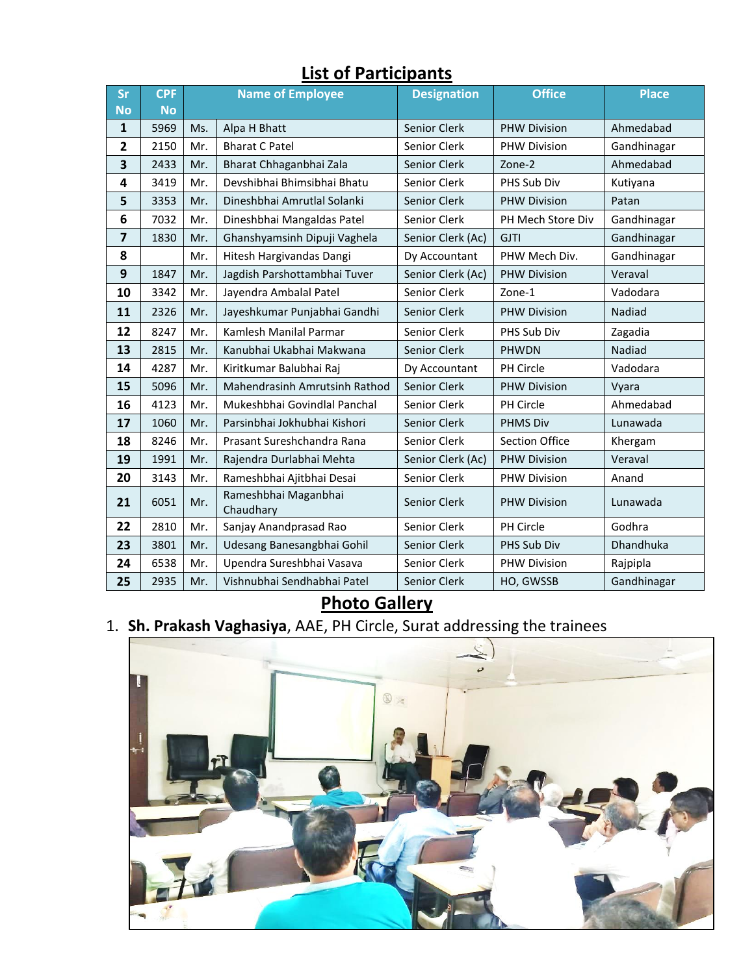| Sr           | <b>CPF</b> | <b>Name of Employee</b> |                                      | <b>Designation</b>  | <b>Office</b>       | <b>Place</b> |  |  |  |  |  |
|--------------|------------|-------------------------|--------------------------------------|---------------------|---------------------|--------------|--|--|--|--|--|
| <b>No</b>    | <b>No</b>  |                         |                                      |                     |                     |              |  |  |  |  |  |
| 1            | 5969       | Ms.                     | Alpa H Bhatt                         | Senior Clerk        | <b>PHW Division</b> | Ahmedabad    |  |  |  |  |  |
| $\mathbf{2}$ | 2150       | Mr.                     | <b>Bharat C Patel</b>                | Senior Clerk        | <b>PHW Division</b> | Gandhinagar  |  |  |  |  |  |
| 3            | 2433       | Mr.                     | Bharat Chhaganbhai Zala              | Senior Clerk        | Zone-2              | Ahmedabad    |  |  |  |  |  |
| 4            | 3419       | Mr.                     | Devshibhai Bhimsibhai Bhatu          | Senior Clerk        | PHS Sub Div         | Kutiyana     |  |  |  |  |  |
| 5            | 3353       | Mr.                     | Dineshbhai Amrutlal Solanki          | Senior Clerk        | <b>PHW Division</b> | Patan        |  |  |  |  |  |
| 6            | 7032       | Mr.                     | Dineshbhai Mangaldas Patel           | Senior Clerk        | PH Mech Store Div   | Gandhinagar  |  |  |  |  |  |
| 7            | 1830       | Mr.                     | Ghanshyamsinh Dipuji Vaghela         | Senior Clerk (Ac)   | <b>GJTI</b>         | Gandhinagar  |  |  |  |  |  |
| 8            |            | Mr.                     | Hitesh Hargivandas Dangi             | Dy Accountant       | PHW Mech Div.       | Gandhinagar  |  |  |  |  |  |
| 9            | 1847       | Mr.                     | Jagdish Parshottambhai Tuver         | Senior Clerk (Ac)   | <b>PHW Division</b> | Veraval      |  |  |  |  |  |
| 10           | 3342       | Mr.                     | Jayendra Ambalal Patel               | Senior Clerk        | Zone-1              | Vadodara     |  |  |  |  |  |
| 11           | 2326       | Mr.                     | Jayeshkumar Punjabhai Gandhi         | Senior Clerk        | <b>PHW Division</b> | Nadiad       |  |  |  |  |  |
| 12           | 8247       | Mr.                     | Kamlesh Manilal Parmar               | Senior Clerk        | PHS Sub Div         | Zagadia      |  |  |  |  |  |
| 13           | 2815       | Mr.                     | Kanubhai Ukabhai Makwana             | Senior Clerk        | <b>PHWDN</b>        | Nadiad       |  |  |  |  |  |
| 14           | 4287       | Mr.                     | Kiritkumar Balubhai Raj              | Dy Accountant       | <b>PH Circle</b>    | Vadodara     |  |  |  |  |  |
| 15           | 5096       | Mr.                     | <b>Mahendrasinh Amrutsinh Rathod</b> | Senior Clerk        | <b>PHW Division</b> | Vyara        |  |  |  |  |  |
| 16           | 4123       | Mr.                     | Mukeshbhai Govindlal Panchal         | Senior Clerk        | PH Circle           | Ahmedabad    |  |  |  |  |  |
| 17           | 1060       | Mr.                     | Parsinbhai Jokhubhai Kishori         | <b>Senior Clerk</b> | <b>PHMS Div</b>     | Lunawada     |  |  |  |  |  |
| 18           | 8246       | Mr.                     | Prasant Sureshchandra Rana           | Senior Clerk        | Section Office      | Khergam      |  |  |  |  |  |
| 19           | 1991       | Mr.                     | Rajendra Durlabhai Mehta             | Senior Clerk (Ac)   | <b>PHW Division</b> | Veraval      |  |  |  |  |  |
| 20           | 3143       | Mr.                     | Rameshbhai Ajitbhai Desai            | Senior Clerk        | PHW Division        | Anand        |  |  |  |  |  |
| 21           | 6051       | Mr.                     | Rameshbhai Maganbhai<br>Chaudhary    | Senior Clerk        | <b>PHW Division</b> | Lunawada     |  |  |  |  |  |
| 22           | 2810       | Mr.                     | Sanjay Anandprasad Rao               | Senior Clerk        | PH Circle           | Godhra       |  |  |  |  |  |
| 23           | 3801       | Mr.                     | Udesang Banesangbhai Gohil           | Senior Clerk        | PHS Sub Div         | Dhandhuka    |  |  |  |  |  |
| 24           | 6538       | Mr.                     | Upendra Sureshbhai Vasava            | Senior Clerk        | <b>PHW Division</b> | Rajpipla     |  |  |  |  |  |
| 25           | 2935       | Mr.                     | Vishnubhai Sendhabhai Patel          | Senior Clerk        | HO, GWSSB           | Gandhinagar  |  |  |  |  |  |

#### **List of Participants**

#### **Photo Gallery**

1. **Sh. Prakash Vaghasiya**, AAE, PH Circle, Surat addressing the trainees